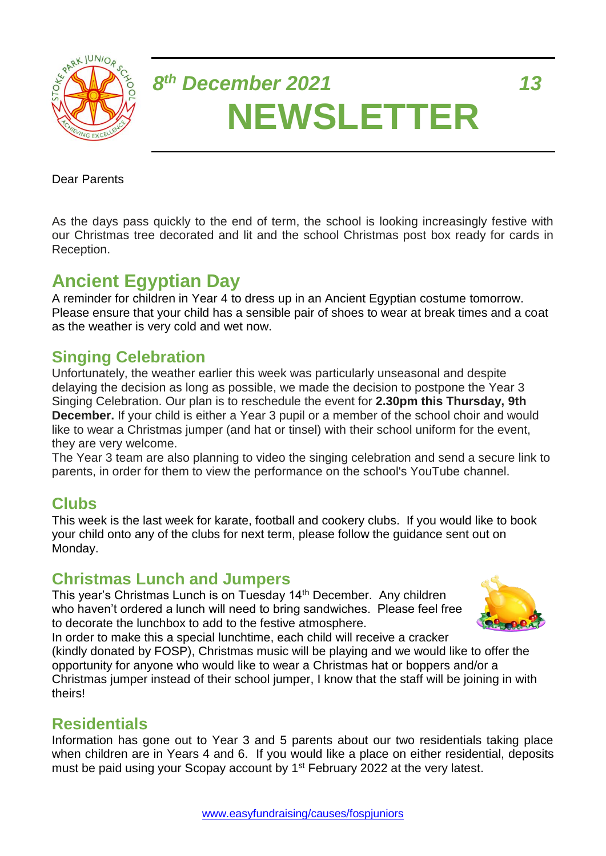

# *8 th December 2021 13* **NEWSLETTER**

#### Dear Parents

As the days pass quickly to the end of term, the school is looking increasingly festive with our Christmas tree decorated and lit and the school Christmas post box ready for cards in Reception.

## **Ancient Egyptian Day**

A reminder for children in Year 4 to dress up in an Ancient Egyptian costume tomorrow. Please ensure that your child has a sensible pair of shoes to wear at break times and a coat as the weather is very cold and wet now.

## **Singing Celebration**

Unfortunately, the weather earlier this week was particularly unseasonal and despite delaying the decision as long as possible, we made the decision to postpone the Year 3 Singing Celebration. Our plan is to reschedule the event for **2.30pm this Thursday, 9th December.** If your child is either a Year 3 pupil or a member of the school choir and would like to wear a Christmas jumper (and hat or tinsel) with their school uniform for the event, they are very welcome.

The Year 3 team are also planning to video the singing celebration and send a secure link to parents, in order for them to view the performance on the school's YouTube channel.

## **Clubs**

This week is the last week for karate, football and cookery clubs. If you would like to book your child onto any of the clubs for next term, please follow the guidance sent out on Monday.

## **Christmas Lunch and Jumpers**

This year's Christmas Lunch is on Tuesday 14<sup>th</sup> December. Any children who haven't ordered a lunch will need to bring sandwiches. Please feel free to decorate the lunchbox to add to the festive atmosphere.



In order to make this a special lunchtime, each child will receive a cracker (kindly donated by FOSP), Christmas music will be playing and we would like to offer the opportunity for anyone who would like to wear a Christmas hat or boppers and/or a Christmas jumper instead of their school jumper, I know that the staff will be joining in with theirs!

## **Residentials**

Information has gone out to Year 3 and 5 parents about our two residentials taking place when children are in Years 4 and 6. If you would like a place on either residential, deposits must be paid using your Scopay account by 1<sup>st</sup> February 2022 at the very latest.